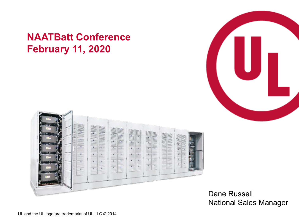#### **NAATBatt Conference February 11, 2020**





Dane Russell National Sales Manager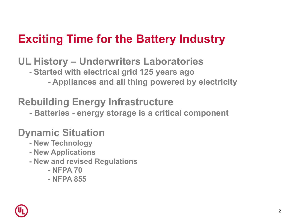## **Exciting Time for the Battery Industry**

**UL History – Underwriters Laboratories**

- **- Started with electrical grid 125 years ago**
	- **- Appliances and all thing powered by electricity**

#### **Rebuilding Energy Infrastructure**

**- Batteries - energy storage is a critical component**

# **Dynamic Situation - New Technology**

- 
- **- New Applications**
- **- New and revised Regulations**
	- **- NFPA 70**
	- **- NFPA 855**

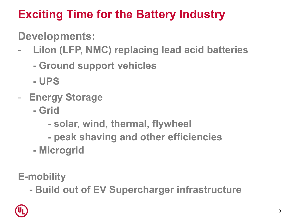# **Exciting Time for the Battery Industry**

### **Developments:**

- **LiIon (LFP, NMC) replacing lead acid batteries**
	- **- Ground support vehicles**
	- **- UPS**
- **Energy Storage**
	- **- Grid**
		- **- solar, wind, thermal, flywheel**
		- **- peak shaving and other efficiencies**
	- **- Microgrid**

**E-mobility**

**- Build out of EV Supercharger infrastructure**

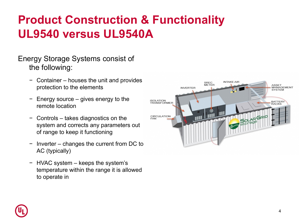# **Product Construction & Functionality UL9540 versus UL9540A**

Energy Storage Systems consist of the following:

- − Container houses the unit and provides protection to the elements
- − Energy source gives energy to the remote location
- − Controls takes diagnostics on the system and corrects any parameters out of range to keep it functioning
- − Inverter changes the current from DC to AC (typically)
- − HVAC system keeps the system's temperature within the range it is allowed to operate in



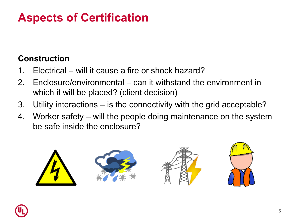# **Aspects of Certification**

#### **Construction**

- 1. Electrical will it cause a fire or shock hazard?
- 2. Enclosure/environmental can it withstand the environment in which it will be placed? (client decision)
- 3. Utility interactions is the connectivity with the grid acceptable?
- 4. Worker safety will the people doing maintenance on the system be safe inside the enclosure?



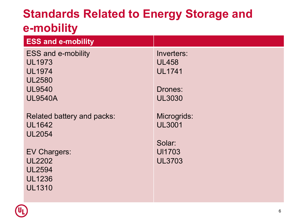### **Standards Related to Energy Storage and e-mobility**

| <b>ESS and e-mobility</b>  |               |
|----------------------------|---------------|
| <b>ESS and e-mobility</b>  | Inverters:    |
| <b>UL1973</b>              | <b>UL458</b>  |
| <b>UL1974</b>              | <b>UL1741</b> |
| <b>UL2580</b>              |               |
| <b>UL9540</b>              | Drones:       |
| <b>UL9540A</b>             | <b>UL3030</b> |
|                            |               |
| Related battery and packs: | Microgrids:   |
| <b>UL1642</b>              | <b>UL3001</b> |
| <b>UL2054</b>              |               |
|                            | Solar:        |
| <b>EV Chargers:</b>        | <b>UI1703</b> |
| <b>UL2202</b>              | <b>UL3703</b> |
| <b>UL2594</b>              |               |
| <b>UL1236</b>              |               |
| <b>UL1310</b>              |               |